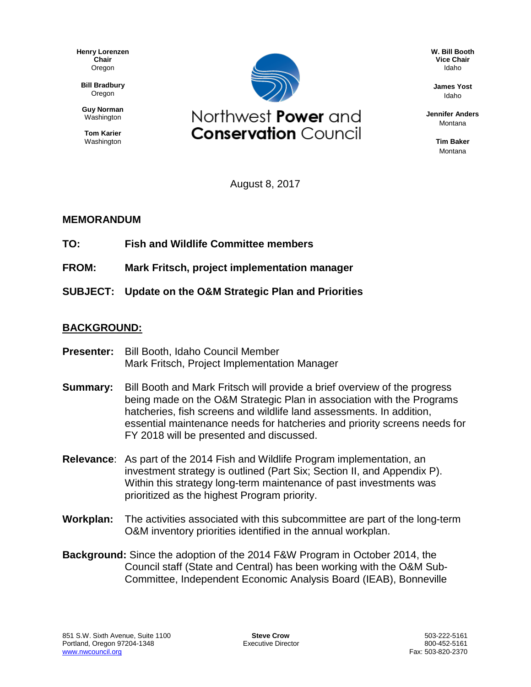**Henry Lorenzen Chair** Oregon

**Bill Bradbury** Oregon

**Guy Norman** Washington

**Tom Karier** Washington



**W. Bill Booth Vice Chair** Idaho

**James Yost** Idaho

**Jennifer Anders** Montana

> **Tim Baker** Montana

August 8, 2017

## **MEMORANDUM**

- **TO: Fish and Wildlife Committee members**
- **FROM: Mark Fritsch, project implementation manager**
- **SUBJECT: Update on the O&M Strategic Plan and Priorities**

## **BACKGROUND:**

- **Presenter:** Bill Booth, Idaho Council Member Mark Fritsch, Project Implementation Manager
- **Summary:** Bill Booth and Mark Fritsch will provide a brief overview of the progress being made on the O&M Strategic Plan in association with the Programs hatcheries, fish screens and wildlife land assessments. In addition, essential maintenance needs for hatcheries and priority screens needs for FY 2018 will be presented and discussed.
- **Relevance**: As part of the 2014 Fish and Wildlife Program implementation, an investment strategy is outlined (Part Six; Section II, and Appendix P). Within this strategy long-term maintenance of past investments was prioritized as the highest Program priority.
- **Workplan:** The activities associated with this subcommittee are part of the long-term O&M inventory priorities identified in the annual workplan.
- **Background:** Since the adoption of the 2014 F&W Program in October 2014, the Council staff (State and Central) has been working with the O&M Sub-Committee, Independent Economic Analysis Board (IEAB), Bonneville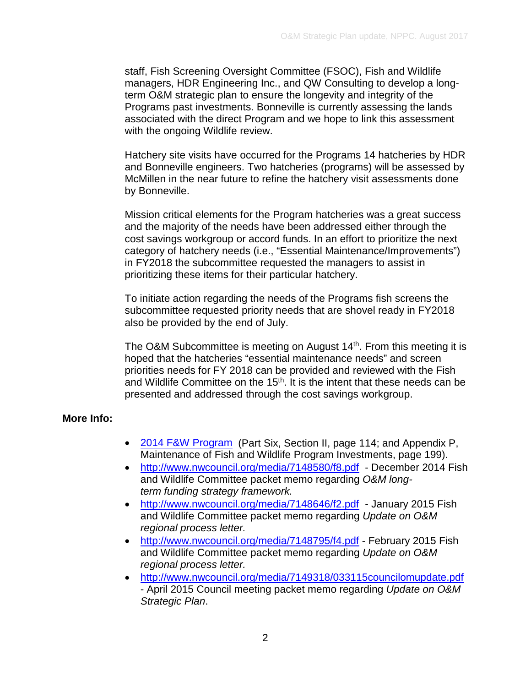staff, Fish Screening Oversight Committee (FSOC), Fish and Wildlife managers, HDR Engineering Inc., and QW Consulting to develop a longterm O&M strategic plan to ensure the longevity and integrity of the Programs past investments. Bonneville is currently assessing the lands associated with the direct Program and we hope to link this assessment with the ongoing Wildlife review.

Hatchery site visits have occurred for the Programs 14 hatcheries by HDR and Bonneville engineers. Two hatcheries (programs) will be assessed by McMillen in the near future to refine the hatchery visit assessments done by Bonneville.

Mission critical elements for the Program hatcheries was a great success and the majority of the needs have been addressed either through the cost savings workgroup or accord funds. In an effort to prioritize the next category of hatchery needs (i.e., "Essential Maintenance/Improvements") in FY2018 the subcommittee requested the managers to assist in prioritizing these items for their particular hatchery.

To initiate action regarding the needs of the Programs fish screens the subcommittee requested priority needs that are shovel ready in FY2018 also be provided by the end of July.

The O&M Subcommittee is meeting on August 14<sup>th</sup>. From this meeting it is hoped that the hatcheries "essential maintenance needs" and screen priorities needs for FY 2018 can be provided and reviewed with the Fish and Wildlife Committee on the 15<sup>th</sup>. It is the intent that these needs can be presented and addressed through the cost savings workgroup.

## **More Info:**

- [2014 F&W Program](http://www.nwcouncil.org/media/7148391/2014-12.docx) (Part Six, Section II, page 114; and Appendix P, Maintenance of Fish and Wildlife Program Investments, page 199).
- <http://www.nwcouncil.org/media/7148580/f8.pdf> December 2014 Fish and Wildlife Committee packet memo regarding *O&M longterm funding strategy framework.*
- <http://www.nwcouncil.org/media/7148646/f2.pdf> January 2015 Fish and Wildlife Committee packet memo regarding *Update on O&M regional process letter.*
- <http://www.nwcouncil.org/media/7148795/f4.pdf> February 2015 Fish and Wildlife Committee packet memo regarding *Update on O&M regional process letter.*
- <http://www.nwcouncil.org/media/7149318/033115councilomupdate.pdf> - April 2015 Council meeting packet memo regarding *Update on O&M Strategic Plan*.